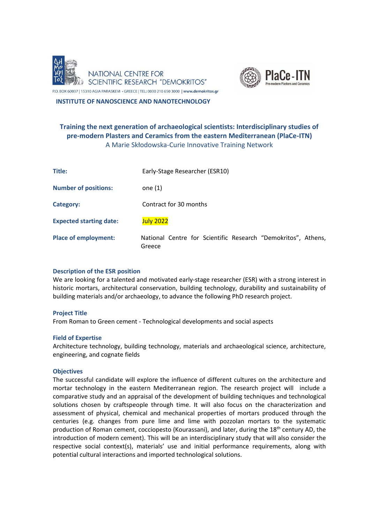



P.O. BOX 60037 | 15310 AGIA PARASKEVI • GREECE | TEL: 0030 210 650 3000 | www.demokritos.gr

 **INSTITUTE OF NANOSCIENCE AND NANOTECHNOLOGY**

# **Training the next generation of archaeological scientists: Interdisciplinary studies of pre-modern Plasters and Ceramics from the eastern Mediterranean (PlaCe-ITN)** A Marie Skłodowska-Curie Innovative Training Network

| Title:                         | Early-Stage Researcher (ESR10)                                          |
|--------------------------------|-------------------------------------------------------------------------|
| <b>Number of positions:</b>    | one $(1)$                                                               |
| Category:                      | Contract for 30 months                                                  |
| <b>Expected starting date:</b> | <b>July 2022</b>                                                        |
| <b>Place of employment:</b>    | National Centre for Scientific Research "Demokritos", Athens,<br>Greece |

# **Description of the ESR position**

We are looking for a talented and motivated early-stage researcher (ESR) with a strong interest in historic mortars, architectural conservation, building technology, durability and sustainability of building materials and/or archaeology, to advance the following PhD research project.

# **Project Title**

From Roman to Green cement - Technological developments and social aspects

# **Field of Expertise**

Architecture technology, building technology, materials and archaeological science, architecture, engineering, and cognate fields

# **Objectives**

The successful candidate will explore the influence of different cultures on the architecture and mortar technology in the eastern Mediterranean region. The research project will include a comparative study and an appraisal of the development of building techniques and technological solutions chosen by craftspeople through time. It will also focus on the characterization and assessment of physical, chemical and mechanical properties of mortars produced through the centuries (e.g. changes from pure lime and lime with pozzolan mortars to the systematic production of Roman cement, cocciopesto (Kourassani), and later, during the 18<sup>th</sup> century AD, the introduction of modern cement). This will be an interdisciplinary study that will also consider the respective social context(s), materials' use and initial performance requirements, along with potential cultural interactions and imported technological solutions.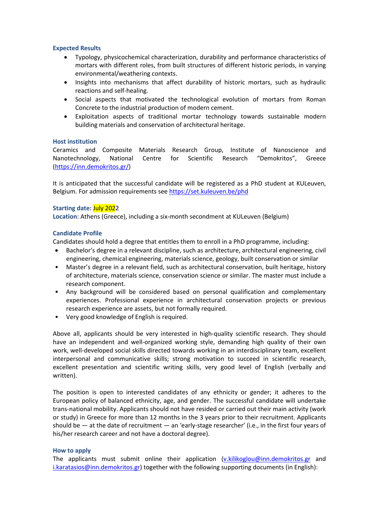# **Expected Results**

- Typology, physicochemical characterization, durability and performance characteristics of mortars with different roles, from built structures of different historic periods, in varying environmental/weathering contexts.
- Insights into mechanisms that affect durability of historic mortars, such as hydraulic reactions and self-healing.
- Social aspects that motivated the technological evolution of mortars from Roman Concrete to the industrial production of modern cement.
- Exploitation aspects of traditional mortar technology towards sustainable modern building materials and conservation of architectural heritage.

#### **Host institution**

Ceramics and Composite Materials Research Group, Institute of Nanoscience and Nanotechnology, National Centre for Scientific Research "Demokritos", Greece [\(https://inn.demokritos.gr/\)](https://inn.demokritos.gr/)

It is anticipated that the successful candidate will be registered as a PhD student at KULeuven, Belgium. For admission requirements see<https://set.kuleuven.be/phd>

# **Starting date:** July 2022

**Location**: Athens (Greece), including a six-month secondment at KULeuven (Belgium)

#### **Candidate Profile**

Candidates should hold a degree that entitles them to enroll in a PhD programme, including:

- Bachelor's degree in a relevant discipline, such as architecture, architectural engineering, civil engineering, chemical engineering, materials science, geology, built conservation or similar
- Master's degree in a relevant field, such as architectural conservation, built heritage, history of architecture, materials science, conservation science or similar. The master must include a research component.
- Any background will be considered based on personal qualification and complementary experiences. Professional experience in architectural conservation projects or previous research experience are assets, but not formally required.
- Very good knowledge of English is required.

Above all, applicants should be very interested in high-quality scientific research. They should have an independent and well-organized working style, demanding high quality of their own work, well-developed social skills directed towards working in an interdisciplinary team, excellent interpersonal and communicative skills; strong motivation to succeed in scientific research, excellent presentation and scientific writing skills, very good level of English (verbally and written).

The position is open to interested candidates of any ethnicity or gender; it adheres to the European policy of balanced ethnicity, age, and gender. The successful candidate will undertake trans-national mobility. Applicants should not have resided or carried out their main activity (work or study) in Greece for more than 12 months in the 3 years prior to their recruitment. Applicants should be — at the date of recruitment — an 'early-stage researcher' (i.e., in the first four years of his/her research career and not have a doctoral degree).

#### **How to apply**

The applicants must submit online their application  $(v.kilikoglou@inn.demokritos.gr and$  $(v.kilikoglou@inn.demokritos.gr and$ [i.karatasios@inn.demokritos.gr\)](mailto:i.karatasios@inn.demokritos.gr) together with the following supporting documents (in English):